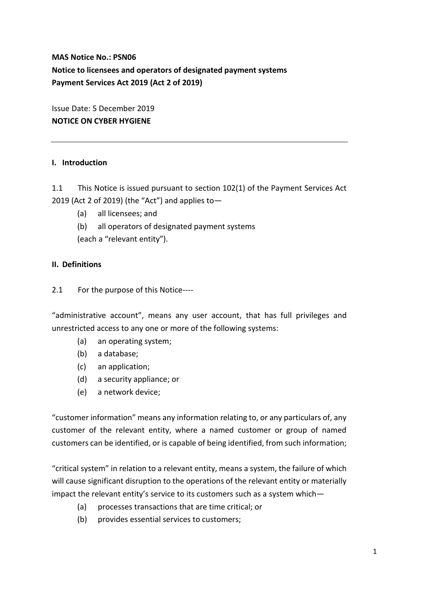# **MAS Notice No.: PSN06 Notice to licensees and operators of designated payment systems Payment Services Act 2019 (Act 2 of 2019)**

Issue Date: 5 December 2019 **NOTICE ON CYBER HYGIENE**

# **I. Introduction**

1.1 This Notice is issued pursuant to section 102(1) of the Payment Services Act 2019 (Act 2 of 2019) (the "Act") and applies to $-$ 

- (a) all licensees; and
- (b) all operators of designated payment systems
- (each a "relevant entity").

## **II. Definitions**

2.1 For the purpose of this Notice----

"administrative account", means any user account, that has full privileges and unrestricted access to any one or more of the following systems:

- (a) an operating system;
- (b) a database;
- (c) an application;
- (d) a security appliance; or
- (e) a network device;

"customer information" means any information relating to, or any particulars of, any customer of the relevant entity, where a named customer or group of named customers can be identified, or is capable of being identified, from such information;

"critical system" in relation to a relevant entity, means a system, the failure of which will cause significant disruption to the operations of the relevant entity or materially impact the relevant entity's service to its customers such as a system which—

- (a) processes transactions that are time critical; or
- (b) provides essential services to customers;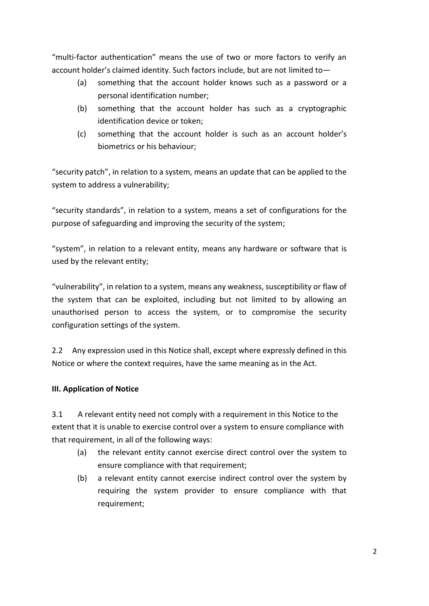"multi-factor authentication" means the use of two or more factors to verify an account holder's claimed identity. Such factors include, but are not limited to—

- (a) something that the account holder knows such as a password or a personal identification number;
- (b) something that the account holder has such as a cryptographic identification device or token;
- (c) something that the account holder is such as an account holder's biometrics or his behaviour;

"security patch", in relation to a system, means an update that can be applied to the system to address a vulnerability;

"security standards", in relation to a system, means a set of configurations for the purpose of safeguarding and improving the security of the system;

"system", in relation to a relevant entity, means any hardware or software that is used by the relevant entity;

"vulnerability", in relation to a system, means any weakness, susceptibility or flaw of the system that can be exploited, including but not limited to by allowing an unauthorised person to access the system, or to compromise the security configuration settings of the system.

2.2 Any expression used in this Notice shall, except where expressly defined in this Notice or where the context requires, have the same meaning as in the Act.

## **III. Application of Notice**

3.1 A relevant entity need not comply with a requirement in this Notice to the extent that it is unable to exercise control over a system to ensure compliance with that requirement, in all of the following ways:

- (a) the relevant entity cannot exercise direct control over the system to ensure compliance with that requirement;
- (b) a relevant entity cannot exercise indirect control over the system by requiring the system provider to ensure compliance with that requirement;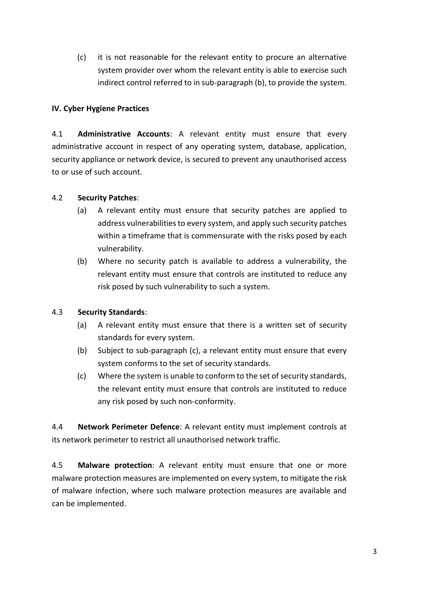(c) it is not reasonable for the relevant entity to procure an alternative system provider over whom the relevant entity is able to exercise such indirect control referred to in sub-paragraph (b), to provide the system.

# **IV. Cyber Hygiene Practices**

4.1 **Administrative Accounts**: A relevant entity must ensure that every administrative account in respect of any operating system, database, application, security appliance or network device, is secured to prevent any unauthorised access to or use of such account.

## 4.2 **Security Patches**:

- (a) A relevant entity must ensure that security patches are applied to address vulnerabilities to every system, and apply such security patches within a timeframe that is commensurate with the risks posed by each vulnerability.
- (b) Where no security patch is available to address a vulnerability, the relevant entity must ensure that controls are instituted to reduce any risk posed by such vulnerability to such a system.

# 4.3 **Security Standards**:

- (a) A relevant entity must ensure that there is a written set of security standards for every system.
- (b) Subject to sub-paragraph (c), a relevant entity must ensure that every system conforms to the set of security standards.
- (c) Where the system is unable to conform to the set of security standards, the relevant entity must ensure that controls are instituted to reduce any risk posed by such non-conformity.

4.4 **Network Perimeter Defence**: A relevant entity must implement controls at its network perimeter to restrict all unauthorised network traffic.

4.5 **Malware protection**: A relevant entity must ensure that one or more malware protection measures are implemented on every system, to mitigate the risk of malware infection, where such malware protection measures are available and can be implemented.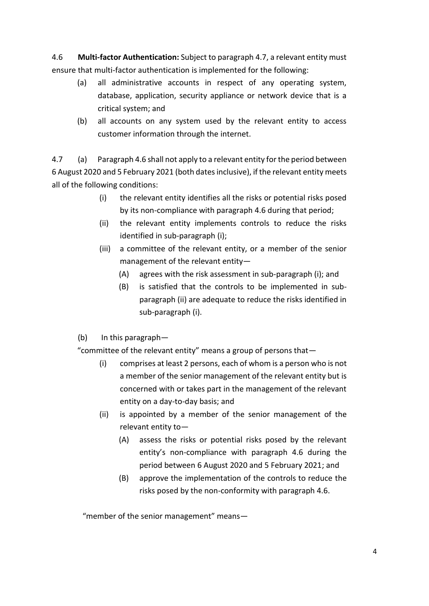4.6 **Multi-factor Authentication:** Subject to paragraph 4.7, a relevant entity must ensure that multi-factor authentication is implemented for the following:

- (a) all administrative accounts in respect of any operating system, database, application, security appliance or network device that is a critical system; and
- (b) all accounts on any system used by the relevant entity to access customer information through the internet.

4.7 (a) Paragraph 4.6 shall not apply to a relevant entity for the period between 6 August 2020 and 5 February 2021 (both dates inclusive), if the relevant entity meets all of the following conditions:

- (i) the relevant entity identifies all the risks or potential risks posed by its non-compliance with paragraph 4.6 during that period;
- (ii) the relevant entity implements controls to reduce the risks identified in sub-paragraph (i);
- (iii) a committee of the relevant entity, or a member of the senior management of the relevant entity—
	- (A) agrees with the risk assessment in sub-paragraph (i); and
	- (B) is satisfied that the controls to be implemented in subparagraph (ii) are adequate to reduce the risks identified in sub-paragraph (i).

(b) In this paragraph—

"committee of the relevant entity" means a group of persons that—

- (i) comprises at least 2 persons, each of whom is a person who is not a member of the senior management of the relevant entity but is concerned with or takes part in the management of the relevant entity on a day-to-day basis; and
- (ii) is appointed by a member of the senior management of the relevant entity to—
	- (A) assess the risks or potential risks posed by the relevant entity's non-compliance with paragraph 4.6 during the period between 6 August 2020 and 5 February 2021; and
	- (B) approve the implementation of the controls to reduce the risks posed by the non-conformity with paragraph 4.6.

"member of the senior management" means—